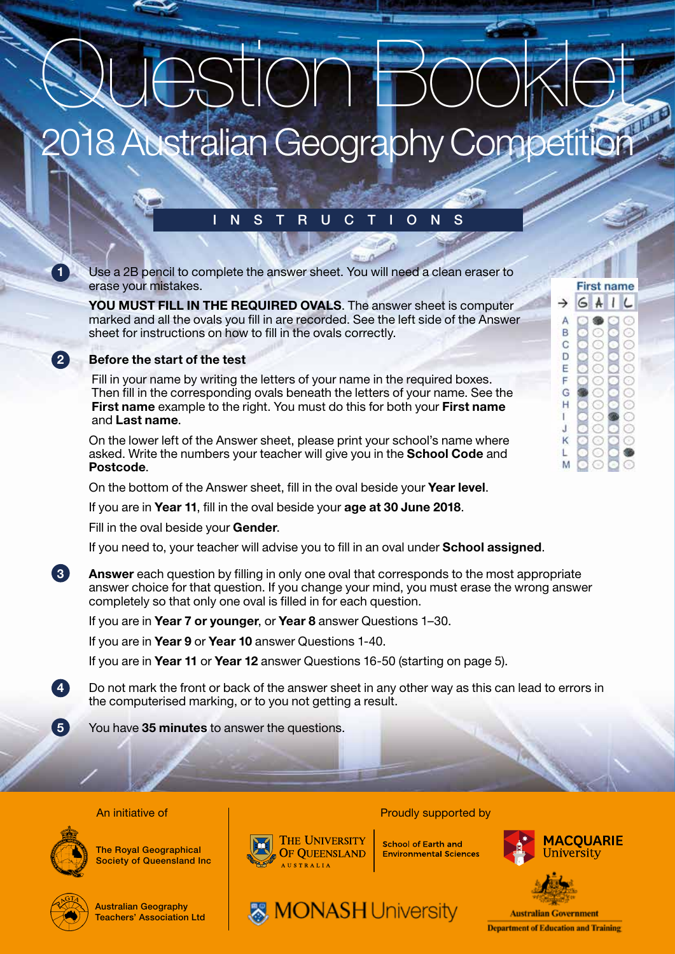# **Australian Geography Competition** Question Booklet

# INSTRUCTIONS

1 Use a 2B pencil to complete the answer sheet. You will need a clean eraser to erase your mistakes.

YOU MUST FILL IN THE REQUIRED OVALS. The answer sheet is computer marked and all the ovals you fill in are recorded. See the left side of the Answer sheet for instructions on how to fill in the ovals correctly.

#### Before the start of the test

 Fill in your name by writing the letters of your name in the required boxes. Then fill in the corresponding ovals beneath the letters of your name. See the First name example to the right. You must do this for both your First name and Last name.

On the lower left of the Answer sheet, please print your school's name where asked. Write the numbers your teacher will give you in the **School Code** and Postcode.

On the bottom of the Answer sheet, fill in the oval beside your Year level.

If you are in Year 11, fill in the oval beside your age at 30 June 2018.

Fill in the oval beside your Gender.

If you need to, your teacher will advise you to fill in an oval under **School assigned**.

**3** Answer each question by filling in only one oval that corresponds to the most appropriate answer choice for that question. If you change your mind, you must erase the wrong answer completely so that only one oval is filled in for each question.

If you are in Year 7 or younger, or Year 8 answer Questions 1–30.

If you are in Year 9 or Year 10 answer Questions 1-40.

If you are in Year 11 or Year 12 answer Questions 16-50 (starting on page 5).

4 Do not mark the front or back of the answer sheet in any other way as this can lead to errors in the computerised marking, or to you not getting a result.

**MONASH University** 

5 You have 35 minutes to answer the questions.

#### An initiative of **Proudly supported by Proudly supported by**



The Royal Geographical **Society of Queensland Inc** 



Australian Geography Teachers' Association Ltd



**School of Earth and Environmental Sciences** 



**First name** 

 $\overline{A}$  $\mathbf{I}$ 

Ċ

C C

Ċ

 $\circ$ C Ĺ

G  $\rightarrow$ 

> A B  $\overline{C}$ D E F G

Ĥ

ī

đ K



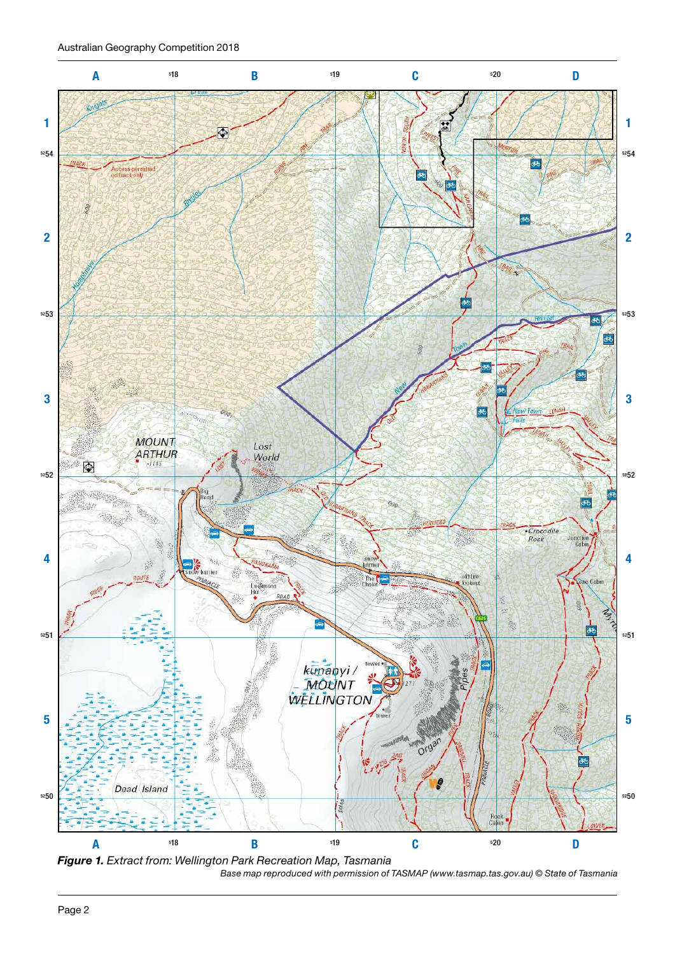Australian Geography Competition 2018



*Base map reproduced with permission of TASMAP (www.tasmap.tas.gov.au) © State of Tasmania Figure 1. Extract from: Wellington Park Recreation Map, Tasmania*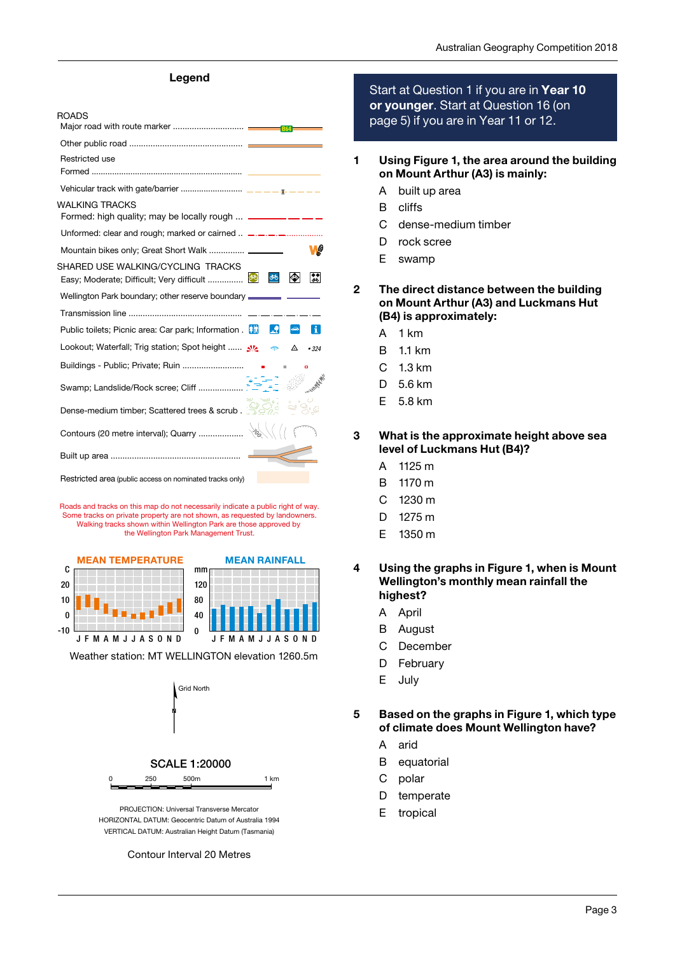#### Legend

| <b>ROADS</b>                                                                              |          |    |                                 |
|-------------------------------------------------------------------------------------------|----------|----|---------------------------------|
|                                                                                           |          |    |                                 |
|                                                                                           |          |    |                                 |
| Restricted use                                                                            |          |    |                                 |
|                                                                                           |          |    |                                 |
|                                                                                           |          |    |                                 |
| <b>WALKING TRACKS</b><br>Formed: high quality; may be locally rough  _______ __ __ __     |          |    |                                 |
| Unformed: clear and rough; marked or cairned  _________                                   |          |    |                                 |
|                                                                                           |          |    |                                 |
| SHARED USE WALKING/CYCLING TRACKS                                                         |          |    |                                 |
| Easy; Moderate; Difficult; Very difficult                                                 | ෯        | I  | $ \boldsymbol{\ddot{s}}\rangle$ |
| Wellington Park boundary; other reserve boundary <b>with the contract of the UK and S</b> |          |    |                                 |
|                                                                                           |          |    |                                 |
| Public toilets; Picnic area: Car park; Information . <b>No</b>                            | <b>A</b> |    | H.                              |
| Lookout; Waterfall; Trig station; Spot height $\mathcal{N}$                               |          | △  | •324                            |
|                                                                                           |          | i. | o                               |
|                                                                                           |          |    |                                 |
| Dense-medium timber; Scattered trees & scrub.                                             |          |    |                                 |
|                                                                                           |          |    |                                 |
|                                                                                           |          |    |                                 |

Restricted area (public access on nominated tracks only)

Roads and tracks on this map do not necessarily indicate a public right of way. Some tracks on private property are not shown, as requested by landowners. Walking tracks shown within Wellington Park are those approved by the Wellington Park Management Trust.





Weather station: MT WELLINGTON elevation 1260.5m



HORIZONTAL DATUM: Geocentric Datum of Australia 1994 VERTICAL DATUM: Australian Height Datum (Tasmania)

Contour Interval 20 Metres

Start at Question 1 if you are in Year 10 or younger. Start at Question 16 (on page 5) if you are in Year 11 or 12.

- 1 Using Figure 1, the area around the building on Mount Arthur (A3) is mainly:
	- A built up area
	- B cliffs
	- C dense-medium timber
	- D rock scree
	- E swamp
- 2 The direct distance between the building on Mount Arthur (A3) and Luckmans Hut (B4) is approximately:
	- A 1 km
	- B 1.1 km
	- C 1.3 km
	- D 5.6 km
	- E 5.8 km

3 What is the approximate height above sea level of Luckmans Hut (B4)?

- A 1125 m
- B 1170 m
- C 1230 m
- D 1275 m
- E 1350 m
- 4 Using the graphs in Figure 1, when is Mount Wellington's monthly mean rainfall the highest?
	- A April
	- B August
	- C December
	- D February
	- E July

5 Based on the graphs in Figure 1, which type of climate does Mount Wellington have?

- A arid
- B equatorial
- C polar
- D temperate
- E tropical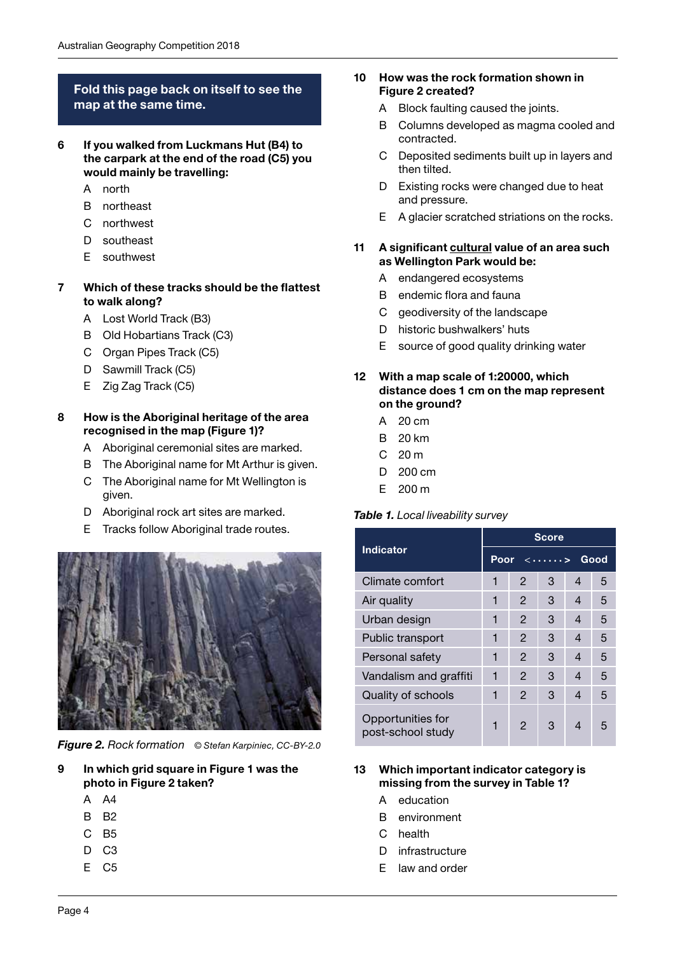## Fold this page back on itself to see the map at the same time.

- 6 If you walked from Luckmans Hut (B4) to the carpark at the end of the road (C5) you would mainly be travelling:
	- A north
	- B northeast
	- C northwest
	- D southeast
	- E southwest

#### 7 Which of these tracks should be the flattest to walk along?

- A Lost World Track (B3)
- B Old Hobartians Track (C3)
- C Organ Pipes Track (C5)
- D Sawmill Track (C5)
- E Zig Zag Track (C5)

#### 8 How is the Aboriginal heritage of the area recognised in the map (Figure 1)?

- A Aboriginal ceremonial sites are marked.
- B The Aboriginal name for Mt Arthur is given.
- C The Aboriginal name for Mt Wellington is given.
- D Aboriginal rock art sites are marked.
- E Tracks follow Aboriginal trade routes.



*Figure 2. Rock formation © Stefan Karpiniec, CC-BY-2.0*

- 9 In which grid square in Figure 1 was the photo in Figure 2 taken?
	- A A4
	- B B2
	- C B5
	- D<sub>C3</sub>
	- E C5
- 10 How was the rock formation shown in Figure 2 created?
	- A Block faulting caused the joints.
	- B Columns developed as magma cooled and contracted.
	- C Deposited sediments built up in layers and then tilted.
	- D Existing rocks were changed due to heat and pressure.
	- E A glacier scratched striations on the rocks.

#### 11 A significant cultural value of an area such as Wellington Park would be:

- A endangered ecosystems
- B endemic flora and fauna
- C geodiversity of the landscape
- D historic bushwalkers' huts
- E source of good quality drinking water

#### 12 With a map scale of 1:20000, which distance does 1 cm on the map represent on the ground?

- A 20 cm
- B 20 km
- $C<sub>20 m</sub>$
- D 200 cm
- E 200 m

## *Table 1. Local liveability survey*

|                                        | <b>Score</b>                  |               |   |   |   |  |  |
|----------------------------------------|-------------------------------|---------------|---|---|---|--|--|
| <b>Indicator</b>                       | Good<br>Poor<br>$\langle$ $>$ |               |   |   |   |  |  |
| Climate comfort                        | 1                             | $\mathcal{P}$ | 3 | 4 | 5 |  |  |
| Air quality                            | 1                             | 2             | 3 | 4 | 5 |  |  |
| Urban design                           | 1                             | $\mathcal{P}$ | 3 | 4 | 5 |  |  |
| Public transport                       | 1                             | 2             | 3 | 4 | 5 |  |  |
| Personal safety                        | 1                             | 2             | 3 | 4 | 5 |  |  |
| Vandalism and graffiti                 | 1                             | 2             | 3 | 4 | 5 |  |  |
| Quality of schools                     | 1                             | $\mathcal{P}$ | 3 | 4 | 5 |  |  |
| Opportunities for<br>post-school study |                               | $\mathcal{P}$ | 3 | 4 | 5 |  |  |

#### 13 Which important indicator category is missing from the survey in Table 1?

- A education
- B environment
- C health
- D infrastructure
- E law and order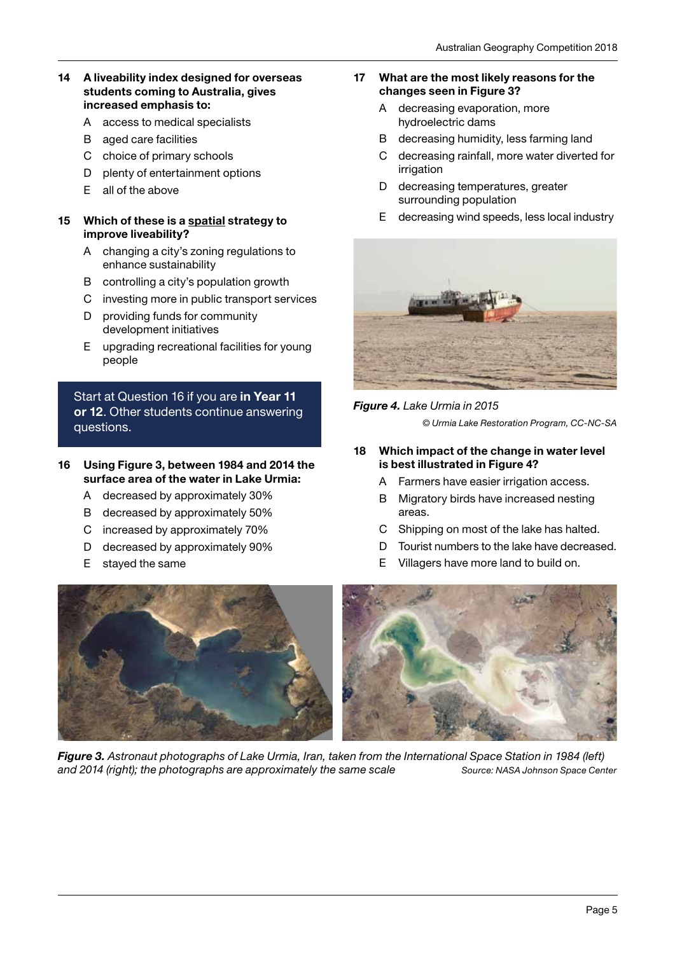#### 14 A liveability index designed for overseas students coming to Australia, gives increased emphasis to:

- A access to medical specialists
- B aged care facilities
- C choice of primary schools
- D plenty of entertainment options
- E all of the above

#### 15 Which of these is a spatial strategy to improve liveability?

- A changing a city's zoning regulations to enhance sustainability
- B controlling a city's population growth
- C investing more in public transport services
- D providing funds for community development initiatives
- E upgrading recreational facilities for young people

Start at Question 16 if you are in Year 11 or 12. Other students continue answering questions.

#### 16 Using Figure 3, between 1984 and 2014 the surface area of the water in Lake Urmia:

- A decreased by approximately 30%
- B decreased by approximately 50%
- C increased by approximately 70%
- D decreased by approximately 90%
- E stayed the same

#### 17 What are the most likely reasons for the changes seen in Figure 3?

- A decreasing evaporation, more hydroelectric dams
- B decreasing humidity, less farming land
- C decreasing rainfall, more water diverted for irrigation
- D decreasing temperatures, greater surrounding population
- E decreasing wind speeds, less local industry



## *Figure 4. Lake Urmia in 2015*

*© Urmia Lake Restoration Program, CC-NC-SA*

- 18 Which impact of the change in water level is best illustrated in Figure 4?
	- A Farmers have easier irrigation access.
	- B Migratory birds have increased nesting areas.
	- C Shipping on most of the lake has halted.
	- D Tourist numbers to the lake have decreased.
	- E Villagers have more land to build on.



*Figure 3. Astronaut photographs of Lake Urmia, Iran, taken from the International Space Station in 1984 (left) and 2014 (right); the photographs are approximately the same scale Source: NASA Johnson Space Center*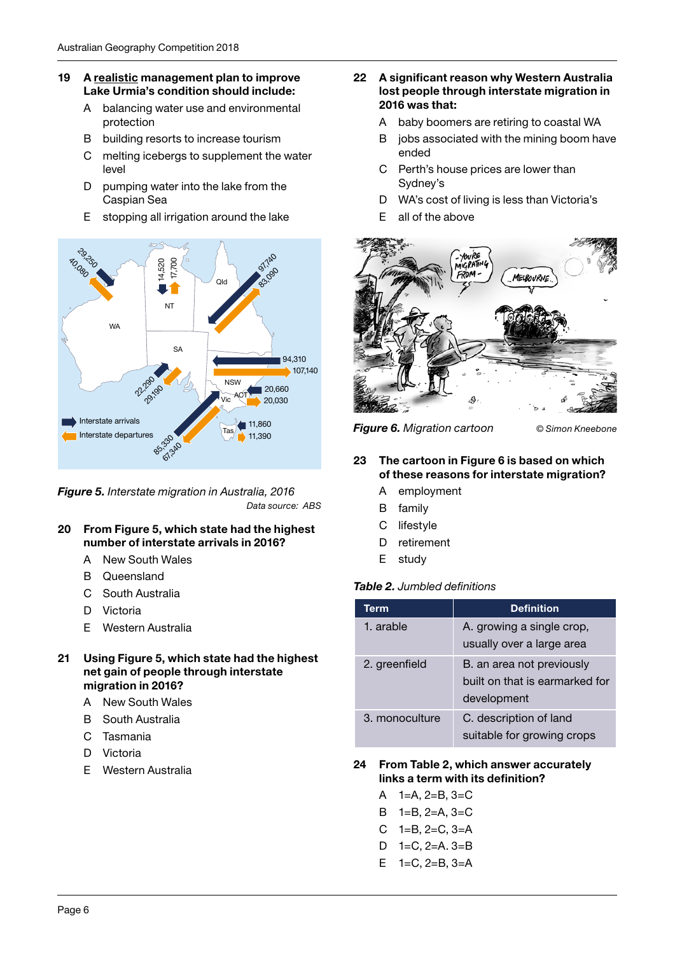#### 19 A realistic management plan to improve Lake Urmia's condition should include:

- A balancing water use and environmental protection
- B building resorts to increase tourism
- C melting icebergs to supplement the water level
- D pumping water into the lake from the Caspian Sea
- E stopping all irrigation around the lake



*Figure 5. Interstate migration in Australia, 2016 Data source: ABS*

- 20 From Figure 5, which state had the highest number of interstate arrivals in 2016?
	- A New South Wales
	- B Queensland
	- C South Australia
	- D Victoria
	- E Western Australia
- 21 Using Figure 5, which state had the highest net gain of people through interstate migration in 2016?
	- A New South Wales
	- B South Australia
	- C Tasmania
	- D Victoria
	- E Western Australia
- 22 A significant reason why Western Australia lost people through interstate migration in 2016 was that:
	- A baby boomers are retiring to coastal WA
	- B jobs associated with the mining boom have ended
	- C Perth's house prices are lower than Sydney's
	- D WA's cost of living is less than Victoria's
	- E all of the above



*Figure 6. Migration cartoon © Simon Kneebone*

### 23 The cartoon in Figure 6 is based on which of these reasons for interstate migration?

- A employment
- B family
- C lifestyle
- D retirement
- E study

## *Table 2. Jumbled definitions*

| Term           | <b>Definition</b>                                                          |
|----------------|----------------------------------------------------------------------------|
| 1. arable      | A. growing a single crop,<br>usually over a large area                     |
| 2. greenfield  | B. an area not previously<br>built on that is earmarked for<br>development |
| 3. monoculture | C. description of land<br>suitable for growing crops                       |

#### 24 From Table 2, which answer accurately links a term with its definition?

- A 1=A, 2=B, 3=C
- B 1=B, 2=A, 3=C
- $C = 1 = B$ ,  $2 = C$ ,  $3 = A$
- D 1=C, 2=A. 3=B
- E 1=C, 2=B, 3=A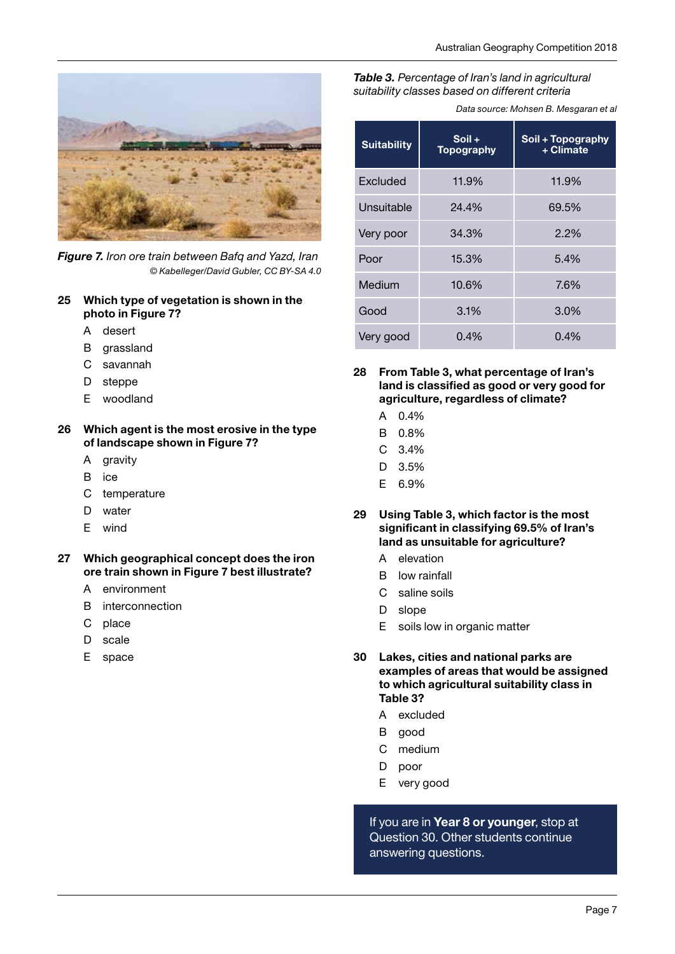

*Figure 7. Iron ore train between Bafq and Yazd, Iran © Kabelleger/David Gubler, CC BY-SA 4.0*

#### 25 Which type of vegetation is shown in the photo in Figure 7?

- A desert
- B grassland
- C savannah
- D steppe
- E woodland

#### 26 Which agent is the most erosive in the type of landscape shown in Figure 7?

- A gravity
- B ice
- C temperature
- D water
- E wind

#### 27 Which geographical concept does the iron ore train shown in Figure 7 best illustrate?

- A environment
- B interconnection
- C place
- D scale
- E space

#### *Table 3. Percentage of Iran's land in agricultural suitability classes based on different criteria*

*Data source: Mohsen B. Mesgaran et al*

| <b>Suitability</b> | $S$ oil +<br><b>Topography</b> | Soil + Topography<br>+ Climate |
|--------------------|--------------------------------|--------------------------------|
| Excluded           | 11.9%                          | 11.9%                          |
| Unsuitable         | 24.4%                          | 69.5%                          |
| Very poor          | 34.3%                          | 2.2%                           |
| Poor               | 15.3%                          | 5.4%                           |
| Medium             | 10.6%                          | 7.6%                           |
| Good               | 3.1%                           | 3.0%                           |
| Very good          | 0.4%                           | 0.4%                           |

- 28 From Table 3, what percentage of Iran's land is classified as good or very good for agriculture, regardless of climate?
	- A 0.4%
	- B 0.8%
	- C 3.4%
	- D 3.5%
	- E 6.9%
- 29 Using Table 3, which factor is the most significant in classifying 69.5% of Iran's land as unsuitable for agriculture?
	- A elevation
	- B low rainfall
	- C saline soils
	- D slope
	- E soils low in organic matter
- 30 Lakes, cities and national parks are examples of areas that would be assigned to which agricultural suitability class in Table 3?
	- A excluded
	- B good
	- C medium
	- D poor
	- E very good

If you are in Year 8 or younger, stop at Question 30. Other students continue answering questions.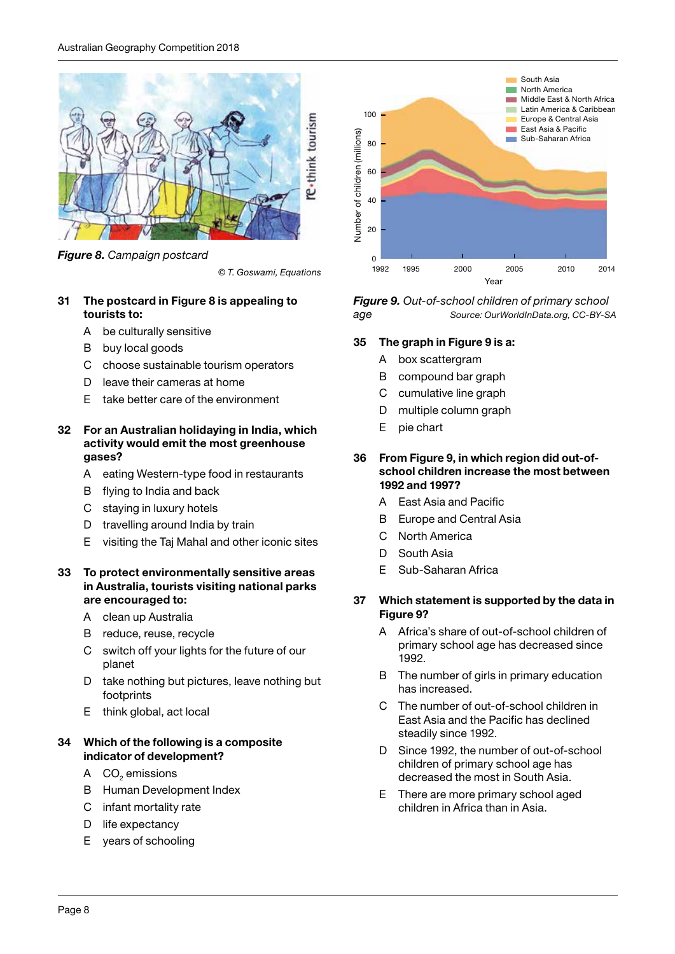

*Figure 8. Campaign postcard*

*© T. Goswami, Equations*

## 31 The postcard in Figure 8 is appealing to tourists to:

- A be culturally sensitive
- B buy local goods
- C choose sustainable tourism operators
- D leave their cameras at home
- E take better care of the environment

#### 32 For an Australian holidaying in India, which activity would emit the most greenhouse gases?

- A eating Western-type food in restaurants
- B flying to India and back
- C staying in luxury hotels
- D travelling around India by train
- E visiting the Taj Mahal and other iconic sites

## 33 To protect environmentally sensitive areas in Australia, tourists visiting national parks are encouraged to:

- A clean up Australia
- B reduce, reuse, recycle
- C switch off your lights for the future of our planet
- D take nothing but pictures, leave nothing but footprints
- E think global, act local

## 34 Which of the following is a composite indicator of development?

- A  $CO<sub>2</sub>$  emissions
	- B Human Development Index
	- C infant mortality rate
	- D life expectancy
	- E years of schooling



*Figure 9. Out-of-school children of primary school age Source: OurWorldInData.org, CC-BY-SA*

## 35 The graph in Figure 9 is a:

- A box scattergram
- B compound bar graph
- C cumulative line graph
- D multiple column graph
- E pie chart

#### 36 From Figure 9, in which region did out-ofschool children increase the most between 1992 and 1997?

- A East Asia and Pacific
- B Europe and Central Asia
- C North America
- D South Asia
- E Sub-Saharan Africa

## 37 Which statement is supported by the data in Figure 9?

- A Africa's share of out-of-school children of primary school age has decreased since 1992.
- B The number of girls in primary education has increased.
- C The number of out-of-school children in East Asia and the Pacific has declined steadily since 1992.
- D Since 1992, the number of out-of-school children of primary school age has decreased the most in South Asia.
- E There are more primary school aged children in Africa than in Asia.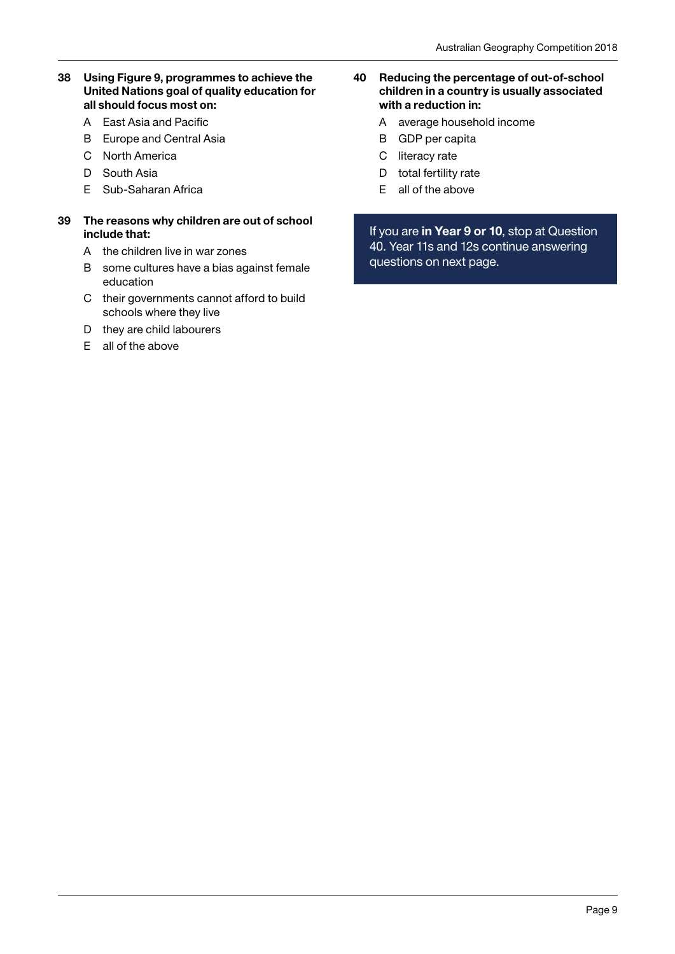## 38 Using Figure 9, programmes to achieve the United Nations goal of quality education for all should focus most on:

- A East Asia and Pacific
- B Europe and Central Asia
- C North America
- D South Asia
- E Sub-Saharan Africa

#### 39 The reasons why children are out of school include that:

- A the children live in war zones
- B some cultures have a bias against female education
- C their governments cannot afford to build schools where they live
- D they are child labourers
- E all of the above
- 40 Reducing the percentage of out-of-school children in a country is usually associated with a reduction in:
	- A average household income
	- B GDP per capita
	- C literacy rate
	- D total fertility rate
	- E all of the above

If you are in Year 9 or 10, stop at Question 40. Year 11s and 12s continue answering questions on next page.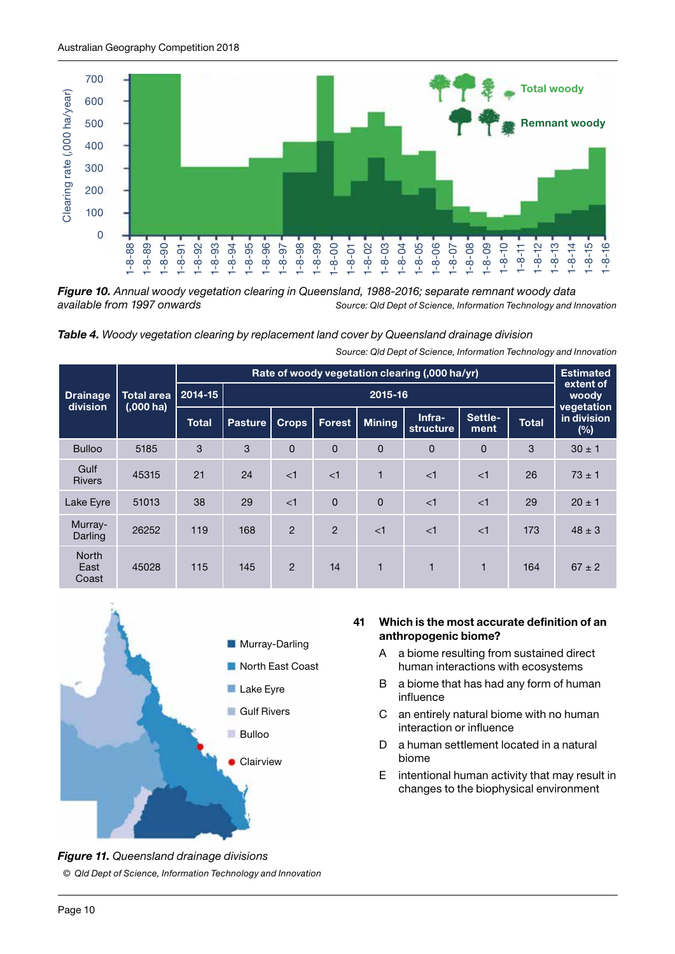

*Figure 10. Annual woody vegetation clearing in Queensland, 1988-2016; separate remnant woody data available from 1997 onwards Source: Qld Dept of Science, Information Technology and Innovation*



*Source: Qld Dept of Science, Information Technology and Innovation*

|                               | <b>Total area</b><br>$(0.000)$ ha) | Rate of woody vegetation clearing (,000 ha/yr) |                |                |                |               |                     |                 | <b>Estimated</b> |                                  |
|-------------------------------|------------------------------------|------------------------------------------------|----------------|----------------|----------------|---------------|---------------------|-----------------|------------------|----------------------------------|
| <b>Drainage</b><br>division   |                                    | 2014-15                                        | 2015-16        |                |                |               |                     |                 |                  | extent of<br>woody               |
|                               |                                    | <b>Total</b>                                   | <b>Pasture</b> | <b>Crops</b>   | Forest         | <b>Mining</b> | Infra-<br>structure | Settle-<br>ment | <b>Total</b>     | vegetation<br>in division<br>(%) |
| <b>Bulloo</b>                 | 5185                               | 3                                              | 3              | $\Omega$       | $\overline{0}$ | $\Omega$      | 0                   | $\Omega$        | 3                | $30 \pm 1$                       |
| Gulf<br><b>Rivers</b>         | 45315                              | 21                                             | 24             | $\leq$ 1       | $\leq$ 1       | 1             | $\leq$ 1            | $\leq$ 1        | 26               | $73 \pm 1$                       |
| Lake Eyre                     | 51013                              | 38                                             | 29             | $\leq$ 1       | $\Omega$       | $\Omega$      | $\leq$ 1            | $\leq$ 1        | 29               | $20 \pm 1$                       |
| Murray-<br>Darling            | 26252                              | 119                                            | 168            | $\overline{2}$ | $\mathcal{P}$  | $\leq$ 1      | $\leq$ 1            | $\leq$ 1        | 173              | $48 \pm 3$                       |
| <b>North</b><br>East<br>Coast | 45028                              | 115                                            | 145            | $\mathcal{P}$  | 14             | 1             | 1                   | 1               | 164              | $67 \pm 2$                       |



# *Figure 11. Queensland drainage divisions © Qld Dept of Science, Information Technology and Innovation*

#### 41 Which is the most accurate definition of an anthropogenic biome?

- A a biome resulting from sustained direct human interactions with ecosystems
- B a biome that has had any form of human influence
- C an entirely natural biome with no human interaction or influence
- D a human settlement located in a natural biome
- E intentional human activity that may result in changes to the biophysical environment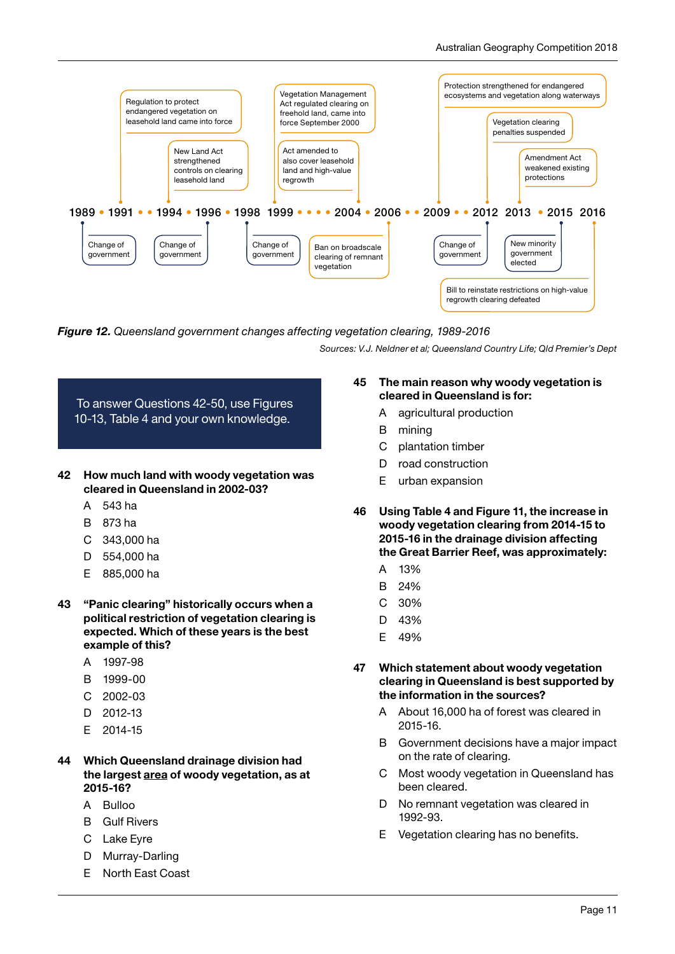

*Figure 12. Queensland government changes affecting vegetation clearing, 1989-2016*

*Sources: V.J. Neldner et al; Queensland Country Life; Qld Premier's Dept*



- cleared in Queensland in 2002-03?
	- A 543 ha
	- B 873 ha
	- C 343,000 ha
	- D 554,000 ha
	- E 885,000 ha
- 43 "Panic clearing" historically occurs when a political restriction of vegetation clearing is expected. Which of these years is the best example of this?
	- A 1997-98
	- B 1999-00
	- C 2002-03
	- D 2012-13
	- E 2014-15
- 44 Which Queensland drainage division had the largest area of woody vegetation, as at 2015-16?
	- A Bulloo
	- B Gulf Rivers
	- C Lake Eyre
	- D Murray-Darling
	- E North East Coast

#### 45 The main reason why woody vegetation is cleared in Queensland is for:

- A agricultural production
- B mining
- C plantation timber
- D road construction
- E urban expansion
- 46 Using Table 4 and Figure 11, the increase in woody vegetation clearing from 2014-15 to 2015-16 in the drainage division affecting the Great Barrier Reef, was approximately:
	- A 13%
	- B 24%
	- C 30%
	- D 43%
	- E 49%

#### 47 Which statement about woody vegetation clearing in Queensland is best supported by the information in the sources?

- A About 16,000 ha of forest was cleared in 2015-16.
- B Government decisions have a major impact on the rate of clearing.
- C Most woody vegetation in Queensland has been cleared.
- D No remnant vegetation was cleared in 1992-93.
- E Vegetation clearing has no benefits.